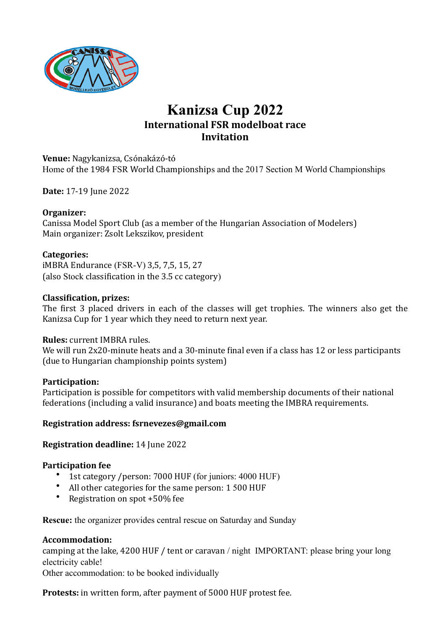

# **Kanizsa Cup 2022 International FSR modelboat race Invitation**

#### **Venue:** Nagykanizsa, Csónakázó-tó Home of the 1984 FSR World Championships and the 2017 Section M World Championships

**Date:** 17-19 June 2022

#### **Organizer:**

Canissa Model Sport Club (as a member of the Hungarian Association of Modelers) Main organizer: Zsolt Lekszikov, president

#### **Categories:**

iMBRA Endurance (FSR-V) 3,5, 7,5, 15, 27 (also Stock classification in the 3.5 cc category)

#### **Classification, prizes:**

The first 3 placed drivers in each of the classes will get trophies. The winners also get the Kanizsa Cup for 1 year which they need to return next year.

#### **Rules:** current IMBRA rules.

We will run 2x20-minute heats and a 30-minute final even if a class has 12 or less participants (due to Hungarian championship points system)

#### **Participation:**

Participation is possible for competitors with valid membership documents of their national federations (including a valid insurance) and boats meeting the IMBRA requirements.

#### **Registration address: fsrnevezes@gmail.com**

#### **Registration deadline:** 14 June 2022

#### **Participation fee**

- 1st category /person: 7000 HUF (for juniors: 4000 HUF)
- All other categories for the same person: 1 500 HUF
- Registration on spot  $+50\%$  fee

**Rescue:** the organizer provides central rescue on Saturday and Sunday

#### **Accommodation:**

camping at the lake, 4200 HUF / tent or caravan / night IMPORTANT: please bring your long electricity cable!

Other accommodation: to be booked individually

**Protests:** in written form, after payment of 5000 HUF protest fee.